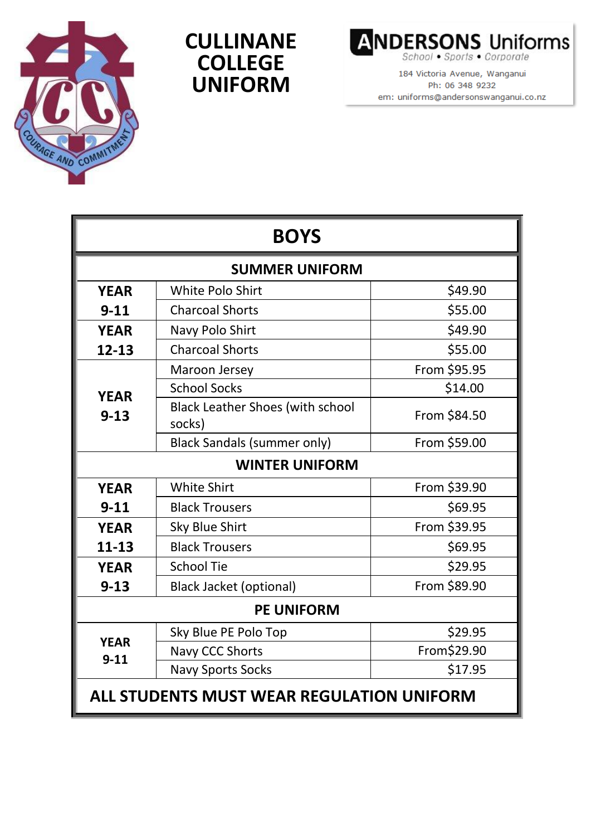

## **CULLINANE COLLEGE UNIFORM**



184 Victoria Avenue, Wanganui Ph: 06 348 9232 em: uniforms@andersonswanganui.co.nz

| <b>BOYS</b>                                      |                                                   |              |  |
|--------------------------------------------------|---------------------------------------------------|--------------|--|
| <b>SUMMER UNIFORM</b>                            |                                                   |              |  |
| <b>YEAR</b>                                      | <b>White Polo Shirt</b>                           | \$49.90      |  |
| $9 - 11$                                         | <b>Charcoal Shorts</b>                            | \$55.00      |  |
| <b>YEAR</b>                                      | Navy Polo Shirt                                   | \$49.90      |  |
| $12 - 13$                                        | <b>Charcoal Shorts</b>                            | \$55.00      |  |
| <b>YEAR</b><br>$9 - 13$                          | Maroon Jersey                                     | From \$95.95 |  |
|                                                  | <b>School Socks</b>                               | \$14.00      |  |
|                                                  | <b>Black Leather Shoes (with school</b><br>socks) | From \$84.50 |  |
|                                                  | <b>Black Sandals (summer only)</b>                | From \$59.00 |  |
| <b>WINTER UNIFORM</b>                            |                                                   |              |  |
| <b>YEAR</b>                                      | <b>White Shirt</b>                                | From \$39.90 |  |
| $9 - 11$                                         | <b>Black Trousers</b>                             | \$69.95      |  |
| <b>YEAR</b>                                      | Sky Blue Shirt                                    | From \$39.95 |  |
| 11-13                                            | <b>Black Trousers</b>                             | \$69.95      |  |
| <b>YEAR</b>                                      | <b>School Tie</b>                                 | \$29.95      |  |
| $9 - 13$                                         | <b>Black Jacket (optional)</b>                    | From \$89.90 |  |
| <b>PE UNIFORM</b>                                |                                                   |              |  |
| <b>YEAR</b><br>$9 - 11$                          | Sky Blue PE Polo Top                              | \$29.95      |  |
|                                                  | Navy CCC Shorts                                   | From\$29.90  |  |
|                                                  | <b>Navy Sports Socks</b>                          | \$17.95      |  |
| <b>ALL STUDENTS MUST WEAR REGULATION UNIFORM</b> |                                                   |              |  |